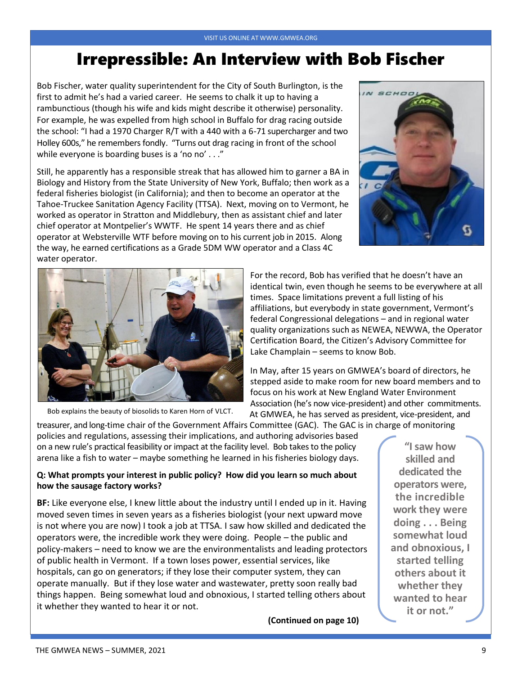## Irrepressible: An Interview with Bob Fischer

Bob Fischer, water quality superintendent for the City of South Burlington, is the first to admit he's had a varied career. He seems to chalk it up to having a rambunctious (though his wife and kids might describe it otherwise) personality. For example, he was expelled from high school in Buffalo for drag racing outside the school: "I had a 1970 Charger R/T with a 440 with a 6-71 supercharger and two Holley 600s," he remembers fondly. "Turns out drag racing in front of the school while everyone is boarding buses is a 'no no' . . ."

Still, he apparently has a responsible streak that has allowed him to garner a BA in Biology and History from the State University of New York, Buffalo; then work as a federal fisheries biologist (in California); and then to become an operator at the Tahoe-Truckee Sanitation Agency Facility (TTSA). Next, moving on to Vermont, he worked as operator in Stratton and Middlebury, then as assistant chief and later chief operator at Montpelier's WWTF. He spent 14 years there and as chief operator at Websterville WTF before moving on to his current job in 2015. Along the way, he earned certifications as a Grade 5DM WW operator and a Class 4C water operator.





Bob explains the beauty of biosolids to Karen Horn of VLCT.

For the record, Bob has verified that he doesn't have an identical twin, even though he seems to be everywhere at all times. Space limitations prevent a full listing of his affiliations, but everybody in state government, Vermont's federal Congressional delegations – and in regional water quality organizations such as NEWEA, NEWWA, the Operator Certification Board, the Citizen's Advisory Committee for Lake Champlain – seems to know Bob.

In May, after 15 years on GMWEA's board of directors, he stepped aside to make room for new board members and to focus on his work at New England Water Environment Association (he's now vice-president) and other commitments. At GMWEA, he has served as president, vice-president, and

treasurer, and long-time chair of the Government Affairs Committee (GAC). The GAC is in charge of monitoring policies and regulations, assessing their implications, and authoring advisories based on a new rule's practical feasibility or impact at the facility level. Bob takes to the policy arena like a fish to water – maybe something he learned in his fisheries biology days.

#### **Q: What prompts your interest in public policy? How did you learn so much about how the sausage factory works?**

**BF:** Like everyone else, I knew little about the industry until I ended up in it. Having moved seven times in seven years as a fisheries biologist (your next upward move is not where you are now) I took a job at TTSA. I saw how skilled and dedicated the operators were, the incredible work they were doing. People – the public and policy-makers – need to know we are the environmentalists and leading protectors of public health in Vermont. If a town loses power, essential services, like hospitals, can go on generators; if they lose their computer system, they can operate manually. But if they lose water and wastewater, pretty soon really bad things happen. Being somewhat loud and obnoxious, I started telling others about it whether they wanted to hear it or not.

**(Continued on page 10)**

**"I saw how skilled and dedicated the operators were, the incredible work they were doing . . . Being somewhat loud and obnoxious, I started telling others about it whether they wanted to hear it or not."**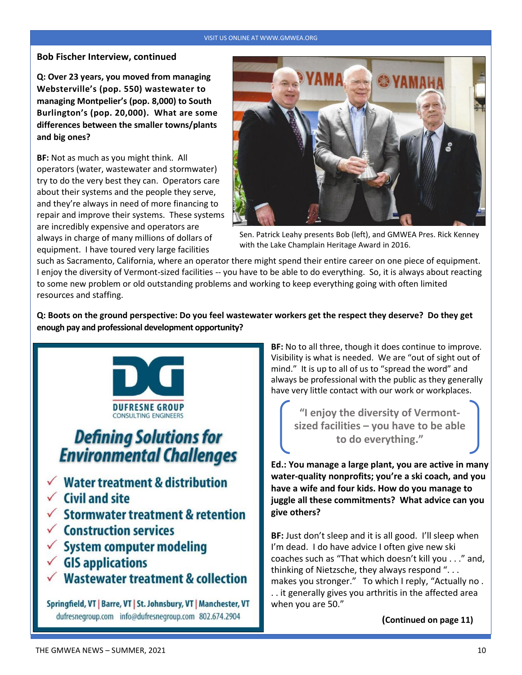#### VISIT US ONLINE AT WWW.GMWEA.ORG

#### **Bob Fischer Interview, continued**

**Q: Over 23 years, you moved from managing Websterville's (pop. 550) wastewater to managing Montpelier's (pop. 8,000) to South Burlington's (pop. 20,000). What are some differences between the smaller towns/plants and big ones?**

**BF:** Not as much as you might think. All operators (water, wastewater and stormwater) try to do the very best they can. Operators care about their systems and the people they serve, and they're always in need of more financing to repair and improve their systems. These systems are incredibly expensive and operators are always in charge of many millions of dollars of equipment. I have toured very large facilities



Sen. Patrick Leahy presents Bob (left), and GMWEA Pres. Rick Kenney with the Lake Champlain Heritage Award in 2016.

such as Sacramento, California, where an operator there might spend their entire career on one piece of equipment. I enjoy the diversity of Vermont-sized facilities -- you have to be able to do everything. So, it is always about reacting to some new problem or old outstanding problems and working to keep everything going with often limited resources and staffing.

**Q: Boots on the ground perspective: Do you feel wastewater workers get the respect they deserve? Do they get enough pay and professional development opportunity?** 



# **Defining Solutions for Environmental Challenges**

- **Water treatment & distribution**
- **Civil and site**
- $\checkmark$  Stormwater treatment & retention
- Construction services
- **System computer modeling**
- **GIS applications**
- **Wastewater treatment & collection**

Springfield, VT | Barre, VT | St. Johnsbury, VT | Manchester, VT dufresnegroup.com info@dufresnegroup.com 802.674.2904

**BF:** No to all three, though it does continue to improve. Visibility is what is needed. We are "out of sight out of mind." It is up to all of us to "spread the word" and always be professional with the public as they generally have very little contact with our work or workplaces.

**"I enjoy the diversity of Vermontsized facilities – you have to be able to do everything."**

**Ed.: You manage a large plant, you are active in many water-quality nonprofits; you're a ski coach, and you have a wife and four kids. How do you manage to juggle all these commitments? What advice can you give others?**

**BF:** Just don't sleep and it is all good. I'll sleep when I'm dead. I do have advice I often give new ski coaches such as "That which doesn't kill you . . ." and, thinking of Nietzsche, they always respond ". . . makes you stronger." To which I reply, "Actually no . . . it generally gives you arthritis in the affected area when you are 50."

 **(Continued on page 11)**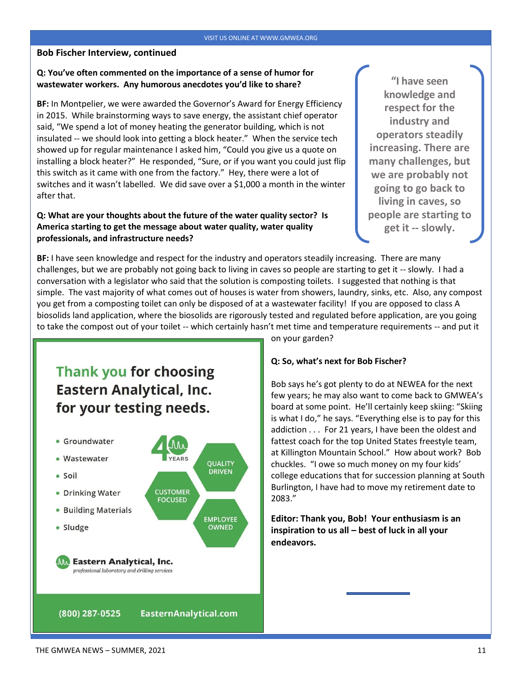#### **Bob Fischer Interview, continued**

#### **Q: You've often commented on the importance of a sense of humor for wastewater workers. Any humorous anecdotes you'd like to share?**

**BF:** In Montpelier, we were awarded the Governor's Award for Energy Efficiency in 2015. While brainstorming ways to save energy, the assistant chief operator said, "We spend a lot of money heating the generator building, which is not insulated -- we should look into getting a block heater." When the service tech showed up for regular maintenance I asked him, "Could you give us a quote on installing a block heater?" He responded, "Sure, or if you want you could just flip this switch as it came with one from the factory." Hey, there were a lot of switches and it wasn't labelled. We did save over a \$1,000 a month in the winter after that.

#### **Q: What are your thoughts about the future of the water quality sector? Is America starting to get the message about water quality, water quality professionals, and infrastructure needs?**

**"I have seen knowledge and respect for the industry and operators steadily increasing. There are many challenges, but we are probably not going to go back to living in caves, so people are starting to get it -- slowly.** 

**BF:** I have seen knowledge and respect for the industry and operators steadily increasing. There are many challenges, but we are probably not going back to living in caves so people are starting to get it -- slowly. I had a conversation with a legislator who said that the solution is composting toilets. I suggested that nothing is that simple. The vast majority of what comes out of houses is water from showers, laundry, sinks, etc. Also, any compost you get from a composting toilet can only be disposed of at a wastewater facility! If you are opposed to class A biosolids land application, where the biosolids are rigorously tested and regulated before application, are you going to take the compost out of your toilet -- which certainly hasn't met time and temperature requirements -- and put it

### **Thank you for choosing Eastern Analytical, Inc.** for your testing needs.



on your garden?

#### **Q: So, what's next for Bob Fischer?**

Bob says he's got plenty to do at NEWEA for the next few years; he may also want to come back to GMWEA's board at some point. He'll certainly keep skiing: "Skiing is what I do," he says. "Everything else is to pay for this addiction . . . For 21 years, I have been the oldest and fattest coach for the top United States freestyle team, at Killington Mountain School." How about work? Bob chuckles. "I owe so much money on my four kids' college educations that for succession planning at South Burlington, I have had to move my retirement date to 2083."

**Editor: Thank you, Bob! Your enthusiasm is an inspiration to us all – best of luck in all your endeavors.**